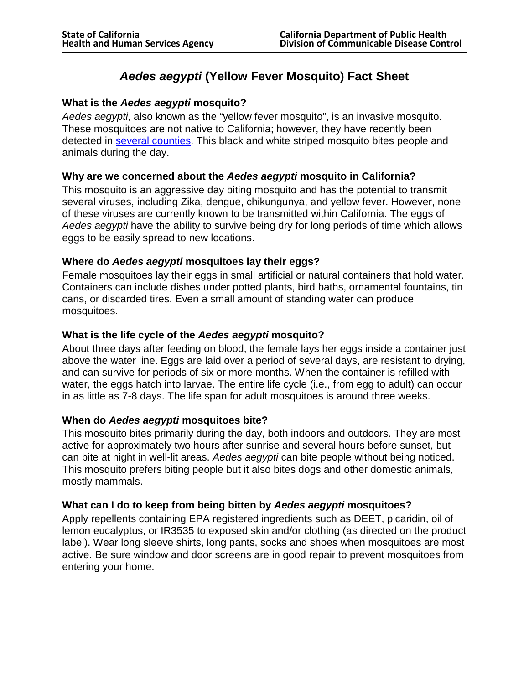# *Aedes aegypti* **(Yellow Fever Mosquito) Fact Sheet**

# **What is the** *Aedes aegypti* **mosquito?**

*Aedes aegypti*, also known as the "yellow fever mosquito", is an invasive mosquito. These mosquitoes are not native to California; however, they have recently been detected in [several counties.](https://www.cdph.ca.gov/Programs/CID/DCDC/CDPH%20Document%20Library/AedesDistributionMap.pdf) This black and white striped mosquito bites people and animals during the day.

## **Why are we concerned about the** *Aedes aegypti* **mosquito in California?**

This mosquito is an aggressive day biting mosquito and has the potential to transmit several viruses, including Zika, dengue, chikungunya, and yellow fever. However, none of these viruses are currently known to be transmitted within California. The eggs of *Aedes aegypti* have the ability to survive being dry for long periods of time which allows eggs to be easily spread to new locations.

## **Where do** *Aedes aegypti* **mosquitoes lay their eggs?**

Female mosquitoes lay their eggs in small artificial or natural containers that hold water. Containers can include dishes under potted plants, bird baths, ornamental fountains, tin cans, or discarded tires. Even a small amount of standing water can produce mosquitoes.

## **What is the life cycle of the** *Aedes aegypti* **mosquito?**

About three days after feeding on blood, the female lays her eggs inside a container just above the water line. Eggs are laid over a period of several days, are resistant to drying, and can survive for periods of six or more months. When the container is refilled with water, the eggs hatch into larvae. The entire life cycle (i.e., from egg to adult) can occur in as little as 7-8 days. The life span for adult mosquitoes is around three weeks.

#### **When do** *Aedes aegypti* **mosquitoes bite?**

This mosquito bites primarily during the day, both indoors and outdoors. They are most active for approximately two hours after sunrise and several hours before sunset, but can bite at night in well-lit areas. *Aedes aegypti* can bite people without being noticed. This mosquito prefers biting people but it also bites dogs and other domestic animals, mostly mammals.

#### **What can I do to keep from being bitten by** *Aedes aegypti* **mosquitoes?**

Apply repellents containing EPA registered ingredients such as DEET, picaridin, oil of lemon eucalyptus, or IR3535 to exposed skin and/or clothing (as directed on the product label). Wear long sleeve shirts, long pants, socks and shoes when mosquitoes are most active. Be sure window and door screens are in good repair to prevent mosquitoes from entering your home.